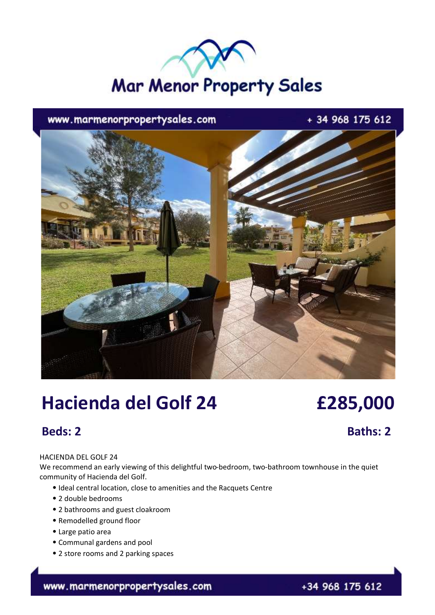# **Mar Menor Property Sales**

www.marmenorpropertysales.com

+ 34 968 175 612



## **Hacienda del Golf 24 £285,000**

### **Beds: 2 Baths: 2**

#### HACIENDA DEL GOLF 24

We recommend an early viewing of this delightful two-bedroom, two-bathroom townhouse in the quiet community of Hacienda del Golf.

- ⦁ Ideal central location, close to amenities and the Racquets Centre
- ⦁ 2 double bedrooms
- ⦁ 2 bathrooms and guest cloakroom
- ⦁ Remodelled ground floor
- ⦁ Large patio area
- ⦁ Communal gardens and pool
- ⦁ 2 store rooms and 2 parking spaces

www.marmenorpropertysales.com

+34 968 175 612